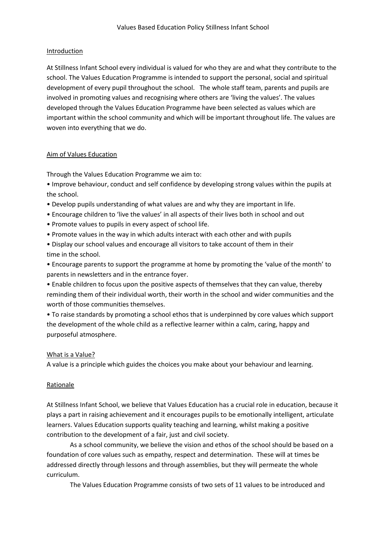### Introduction

At Stillness Infant School every individual is valued for who they are and what they contribute to the school. The Values Education Programme is intended to support the personal, social and spiritual development of every pupil throughout the school. The whole staff team, parents and pupils are involved in promoting values and recognising where others are 'living the values'. The values developed through the Values Education Programme have been selected as values which are important within the school community and which will be important throughout life. The values are woven into everything that we do.

### Aim of Values Education

Through the Values Education Programme we aim to:

• Improve behaviour, conduct and self confidence by developing strong values within the pupils at the school.

- Develop pupils understanding of what values are and why they are important in life.
- Encourage children to 'live the values' in all aspects of their lives both in school and out
- Promote values to pupils in every aspect of school life.
- Promote values in the way in which adults interact with each other and with pupils

• Display our school values and encourage all visitors to take account of them in their time in the school.

• Encourage parents to support the programme at home by promoting the 'value of the month' to parents in newsletters and in the entrance foyer.

• Enable children to focus upon the positive aspects of themselves that they can value, thereby reminding them of their individual worth, their worth in the school and wider communities and the worth of those communities themselves.

• To raise standards by promoting a school ethos that is underpinned by core values which support the development of the whole child as a reflective learner within a calm, caring, happy and purposeful atmosphere.

# What is a Value?

A value is a principle which guides the choices you make about your behaviour and learning.

# Rationale

At Stillness Infant School, we believe that Values Education has a crucial role in education, because it plays a part in raising achievement and it encourages pupils to be emotionally intelligent, articulate learners. Values Education supports quality teaching and learning, whilst making a positive contribution to the development of a fair, just and civil society.

As a school community, we believe the vision and ethos of the school should be based on a foundation of core values such as empathy, respect and determination. These will at times be addressed directly through lessons and through assemblies, but they will permeate the whole curriculum.

The Values Education Programme consists of two sets of 11 values to be introduced and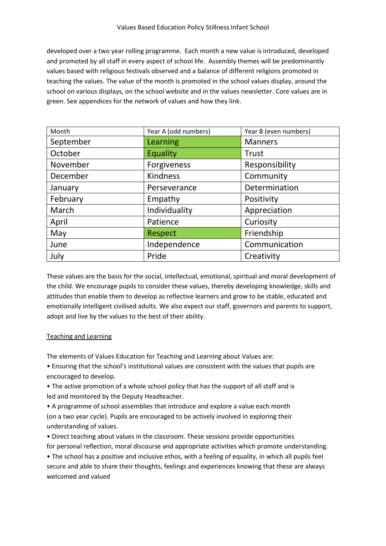developed over a two year rolling programme. Each month a new value is introduced, developed and promoted by all staff in every aspect of school life. Assembly themes will be predominantly values based with religious festivals observed and a balance of different religions promoted in teaching the values. The value of the month is promoted in the school values display, around the school on various displays, on the school website and in the values newsletter. Core values are in green. See appendices for the network of values and how they link.

| Month     | Year A (odd numbers) | Year B (even numbers) |
|-----------|----------------------|-----------------------|
| September | Learning             | <b>Manners</b>        |
| October   | Equality             | Trust                 |
| November  | Forgiveness          | Responsibility        |
| December  | <b>Kindness</b>      | Community             |
| January   | Perseverance         | Determination         |
| February  | Empathy              | Positivity            |
| March     | Individuality        | Appreciation          |
| April     | Patience             | Curiosity             |
| May       | <b>Respect</b>       | Friendship            |
| June      | Independence         | Communication         |
| July      | Pride                | Creativity            |

These values are the basis for the social, intellectual, emotional, spiritual and moral development of the child. We encourage pupils to consider these values, thereby developing knowledge, skills and attitudes that enable them to develop as reflective learners and grow to be stable, educated and emotionally intelligent civilised adults. We also expect our staff, governors and parents to support, adopt and live by the values to the best of their ability.

#### Teaching and Learning

The elements of Values Education for Teaching and Learning about Values are:

• Ensuring that the school's institutional values are consistent with the values that pupils are encouraged to develop.

• The active promotion of a whole school policy that has the support of all staff and is led and monitored by the Deputy Headteacher.

• A programme of school assemblies that introduce and explore a value each month (on a two year cycle). Pupils are encouraged to be actively involved in exploring their understanding of values.

• Direct teaching about values in the classroom. These sessions provide opportunities for personal reflection, moral discourse and appropriate activities which promote understanding.

• The school has a positive and inclusive ethos, with a feeling of equality, in which all pupils feel secure and able to share their thoughts, feelings and experiences knowing that these are always welcomed and valued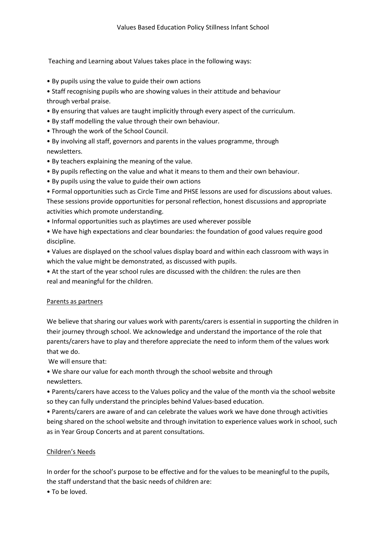Teaching and Learning about Values takes place in the following ways:

- By pupils using the value to guide their own actions
- Staff recognising pupils who are showing values in their attitude and behaviour through verbal praise.
- By ensuring that values are taught implicitly through every aspect of the curriculum.
- By staff modelling the value through their own behaviour.
- Through the work of the School Council.

• By involving all staff, governors and parents in the values programme, through newsletters.

- By teachers explaining the meaning of the value.
- By pupils reflecting on the value and what it means to them and their own behaviour.
- By pupils using the value to guide their own actions
- Formal opportunities such as Circle Time and PHSE lessons are used for discussions about values.

These sessions provide opportunities for personal reflection, honest discussions and appropriate activities which promote understanding.

- Informal opportunities such as playtimes are used wherever possible
- We have high expectations and clear boundaries: the foundation of good values require good discipline.

• Values are displayed on the school values display board and within each classroom with ways in which the value might be demonstrated, as discussed with pupils.

• At the start of the year school rules are discussed with the children: the rules are then real and meaningful for the children.

#### Parents as partners

We believe that sharing our values work with parents/carers is essential in supporting the children in their journey through school. We acknowledge and understand the importance of the role that parents/carers have to play and therefore appreciate the need to inform them of the values work that we do.

We will ensure that:

• We share our value for each month through the school website and through newsletters.

• Parents/carers have access to the Values policy and the value of the month via the school website so they can fully understand the principles behind Values‐based education.

• Parents/carers are aware of and can celebrate the values work we have done through activities being shared on the school website and through invitation to experience values work in school, such as in Year Group Concerts and at parent consultations.

# Children's Needs

In order for the school's purpose to be effective and for the values to be meaningful to the pupils, the staff understand that the basic needs of children are:

• To be loved.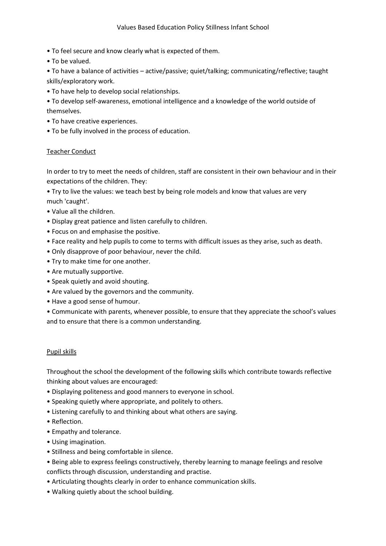#### Values Based Education Policy Stillness Infant School

- To feel secure and know clearly what is expected of them.
- To be valued.

• To have a balance of activities – active/passive; quiet/talking; communicating/reflective; taught skills/exploratory work.

- To have help to develop social relationships.
- To develop self‐awareness, emotional intelligence and a knowledge of the world outside of themselves.
- To have creative experiences.
- To be fully involved in the process of education.

#### Teacher Conduct

In order to try to meet the needs of children, staff are consistent in their own behaviour and in their expectations of the children. They:

• Try to live the values: we teach best by being role models and know that values are very much 'caught'.

- Value all the children.
- Display great patience and listen carefully to children.
- Focus on and emphasise the positive.
- Face reality and help pupils to come to terms with difficult issues as they arise, such as death.
- Only disapprove of poor behaviour, never the child.
- Try to make time for one another.
- Are mutually supportive.
- Speak quietly and avoid shouting.
- Are valued by the governors and the community.
- Have a good sense of humour.

• Communicate with parents, whenever possible, to ensure that they appreciate the school's values and to ensure that there is a common understanding.

#### Pupil skills

Throughout the school the development of the following skills which contribute towards reflective thinking about values are encouraged:

- Displaying politeness and good manners to everyone in school.
- Speaking quietly where appropriate, and politely to others.
- Listening carefully to and thinking about what others are saying.
- Reflection.
- Empathy and tolerance.
- Using imagination.
- Stillness and being comfortable in silence.
- Being able to express feelings constructively, thereby learning to manage feelings and resolve conflicts through discussion, understanding and practise.
- Articulating thoughts clearly in order to enhance communication skills.
- Walking quietly about the school building.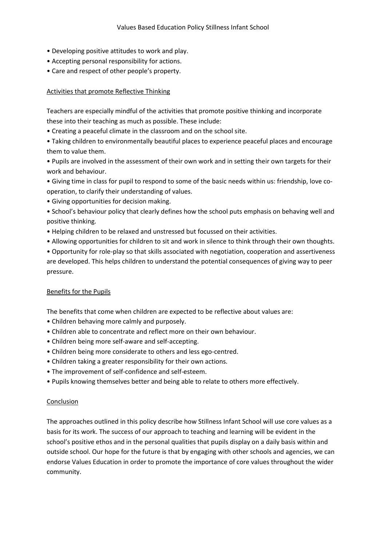- Developing positive attitudes to work and play.
- Accepting personal responsibility for actions.
- Care and respect of other people's property.

### Activities that promote Reflective Thinking

Teachers are especially mindful of the activities that promote positive thinking and incorporate these into their teaching as much as possible. These include:

- Creating a peaceful climate in the classroom and on the school site.
- Taking children to environmentally beautiful places to experience peaceful places and encourage them to value them.

• Pupils are involved in the assessment of their own work and in setting their own targets for their work and behaviour.

- Giving time in class for pupil to respond to some of the basic needs within us: friendship, love co‐ operation, to clarify their understanding of values.
- Giving opportunities for decision making.
- School's behaviour policy that clearly defines how the school puts emphasis on behaving well and positive thinking.
- Helping children to be relaxed and unstressed but focussed on their activities.
- Allowing opportunities for children to sit and work in silence to think through their own thoughts.

• Opportunity for role‐play so that skills associated with negotiation, cooperation and assertiveness are developed. This helps children to understand the potential consequences of giving way to peer pressure.

#### Benefits for the Pupils

The benefits that come when children are expected to be reflective about values are:

- Children behaving more calmly and purposely.
- Children able to concentrate and reflect more on their own behaviour.
- Children being more self‐aware and self‐accepting.
- Children being more considerate to others and less ego‐centred.
- Children taking a greater responsibility for their own actions.
- The improvement of self‐confidence and self‐esteem.
- Pupils knowing themselves better and being able to relate to others more effectively.

#### Conclusion

The approaches outlined in this policy describe how Stillness Infant School will use core values as a basis for its work. The success of our approach to teaching and learning will be evident in the school's positive ethos and in the personal qualities that pupils display on a daily basis within and outside school. Our hope for the future is that by engaging with other schools and agencies, we can endorse Values Education in order to promote the importance of core values throughout the wider community.